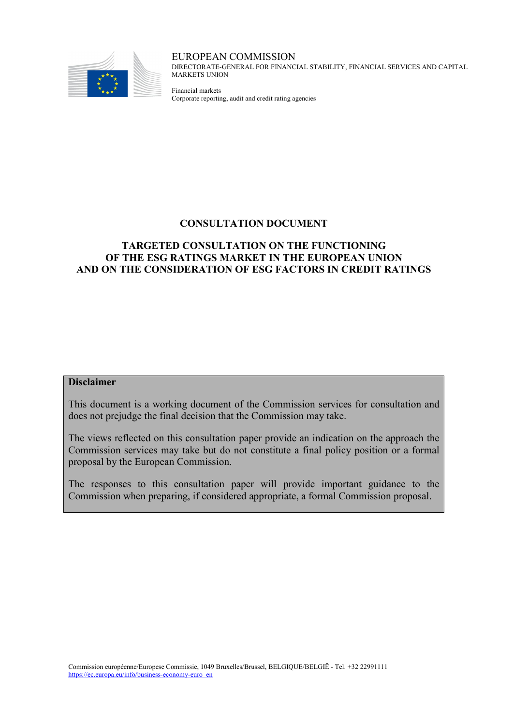

EUROPEAN COMMISSION DIRECTORATE-GENERAL FOR FINANCIAL STABILITY, FINANCIAL SERVICES AND CAPITAL MARKETS UNION

Financial markets Corporate reporting, audit and credit rating agencies

## **CONSULTATION DOCUMENT**

## **TARGETED CONSULTATION ON THE FUNCTIONING OF THE ESG RATINGS MARKET IN THE EUROPEAN UNION AND ON THE CONSIDERATION OF ESG FACTORS IN CREDIT RATINGS**

#### **Disclaimer**

This document is a working document of the Commission services for consultation and does not prejudge the final decision that the Commission may take.

The views reflected on this consultation paper provide an indication on the approach the Commission services may take but do not constitute a final policy position or a formal proposal by the European Commission.

The responses to this consultation paper will provide important guidance to the Commission when preparing, if considered appropriate, a formal Commission proposal.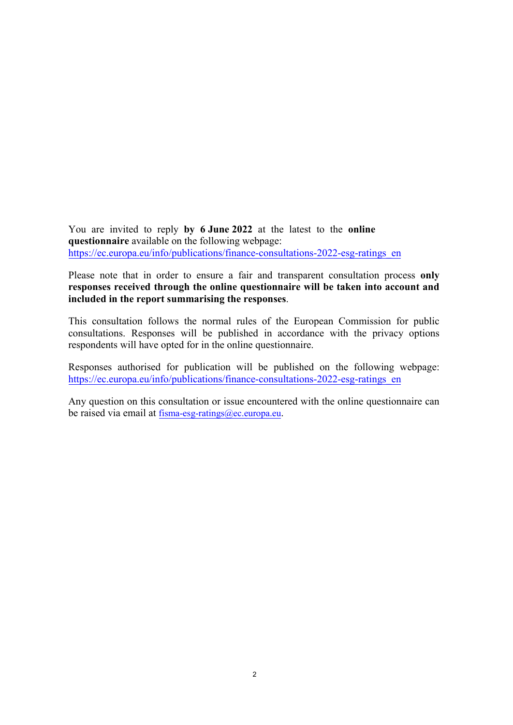You are invited to reply **by 6 June 2022** at the latest to the **online questionnaire** available on the following webpage: https://ec.europa.eu/info/publications/finance-consultations-2022-esg-ratings en

Please note that in order to ensure a fair and transparent consultation process **only responses received through the online questionnaire will be taken into account and included in the report summarising the responses**.

This consultation follows the normal rules of the European Commission for public consultations. Responses will be published in accordance with the privacy options respondents will have opted for in the online questionnaire.

Responses authorised for publication will be published on the following webpage: [https://ec.europa.eu/info/publications/finance-consultations-2022-esg-ratings\\_en](https://ec.europa.eu/info/publications/finance-consultations-2022-esg-ratings_en)

Any question on this consultation or issue encountered with the online questionnaire can be raised via email at [fisma-esg-ratings@ec.europa.eu](mailto:fisma-esg-ratings@ec.europa.eu).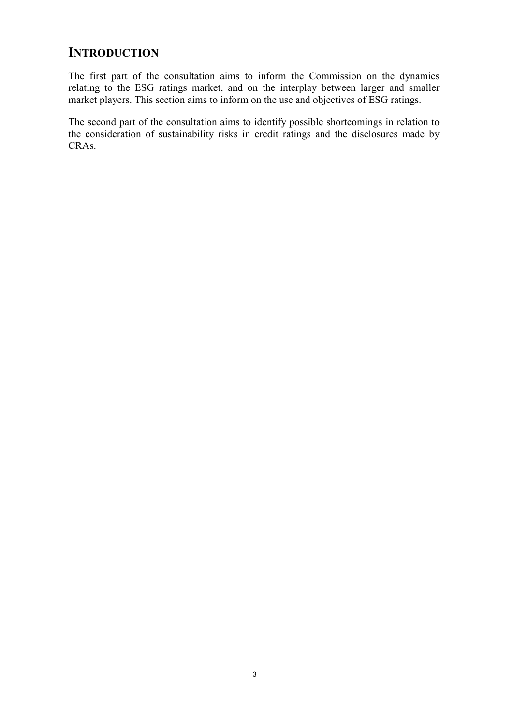# **INTRODUCTION**

The first part of the consultation aims to inform the Commission on the dynamics relating to the ESG ratings market, and on the interplay between larger and smaller market players. This section aims to inform on the use and objectives of ESG ratings.

The second part of the consultation aims to identify possible shortcomings in relation to the consideration of sustainability risks in credit ratings and the disclosures made by CRAs.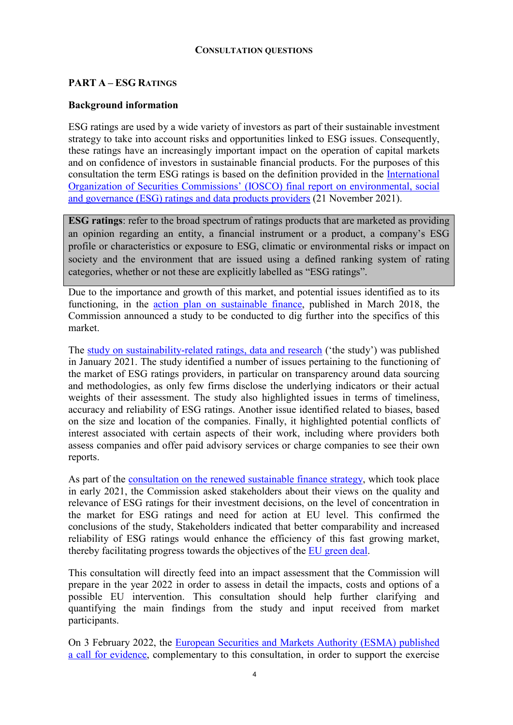#### **CONSULTATION QUESTIONS**

#### **PART A – ESG RATINGS**

#### **Background information**

ESG ratings are used by a wide variety of investors as part of their sustainable investment strategy to take into account risks and opportunities linked to ESG issues. Consequently, these ratings have an increasingly important impact on the operation of capital markets and on confidence of investors in sustainable financial products. For the purposes of this consultation the term ESG ratings is based on the definition provided in the [International](https://www.iosco.org/library/pubdocs/pdf/IOSCOPD690.pdf)  [Organization of Securities Commissions' \(IOSCO\) final report on environmental, social](https://www.iosco.org/library/pubdocs/pdf/IOSCOPD690.pdf)  [and governance \(ESG\) ratings and data products providers](https://www.iosco.org/library/pubdocs/pdf/IOSCOPD690.pdf) (21 November 2021).

**ESG ratings**: refer to the broad spectrum of ratings products that are marketed as providing an opinion regarding an entity, a financial instrument or a product, a company's ESG profile or characteristics or exposure to ESG, climatic or environmental risks or impact on society and the environment that are issued using a defined ranking system of rating categories, whether or not these are explicitly labelled as "ESG ratings".

Due to the importance and growth of this market, and potential issues identified as to its functioning, in the [action plan on sustainable finance,](https://ec.europa.eu/info/publications/sustainable-finance-renewed-strategy_en#action-plan) published in March 2018, the Commission announced a study to be conducted to dig further into the specifics of this market.

The [study on sustainability-related ratings, data and research](https://op.europa.eu/en/publication-detail/-/publication/d7d85036-509c-11eb-b59f-01aa75ed71a1/language-en/format-PDF/source-183474104.) ('the study') was published in January 2021. The study identified a number of issues pertaining to the functioning of the market of ESG ratings providers, in particular on transparency around data sourcing and methodologies, as only few firms disclose the underlying indicators or their actual weights of their assessment. The study also highlighted issues in terms of timeliness, accuracy and reliability of ESG ratings. Another issue identified related to biases, based on the size and location of the companies. Finally, it highlighted potential conflicts of interest associated with certain aspects of their work, including where providers both assess companies and offer paid advisory services or charge companies to see their own reports.

As part of the [consultation on the renewed sustainable finance strategy,](https://ec.europa.eu/info/publications/finance-consultations-2020-sustainable-finance-strategy_en) which took place in early 2021, the Commission asked stakeholders about their views on the quality and relevance of ESG ratings for their investment decisions, on the level of concentration in the market for ESG ratings and need for action at EU level. This confirmed the conclusions of the study, Stakeholders indicated that better comparability and increased reliability of ESG ratings would enhance the efficiency of this fast growing market, thereby facilitating progress towards the objectives of the [EU green deal.](https://ec.europa.eu/info/strategy/priorities-2019-2024/european-green-deal_en)

This consultation will directly feed into an impact assessment that the Commission will prepare in the year 2022 in order to assess in detail the impacts, costs and options of a possible EU intervention. This consultation should help further clarifying and quantifying the main findings from the study and input received from market participants.

On 3 February 2022, the [European Securities and Markets Authority \(ESMA\) published](https://www.esma.europa.eu/press-news/esma-news/esma-launches-call-evidence-esg-ratings)  [a call for evidence,](https://www.esma.europa.eu/press-news/esma-news/esma-launches-call-evidence-esg-ratings) complementary to this consultation, in order to support the exercise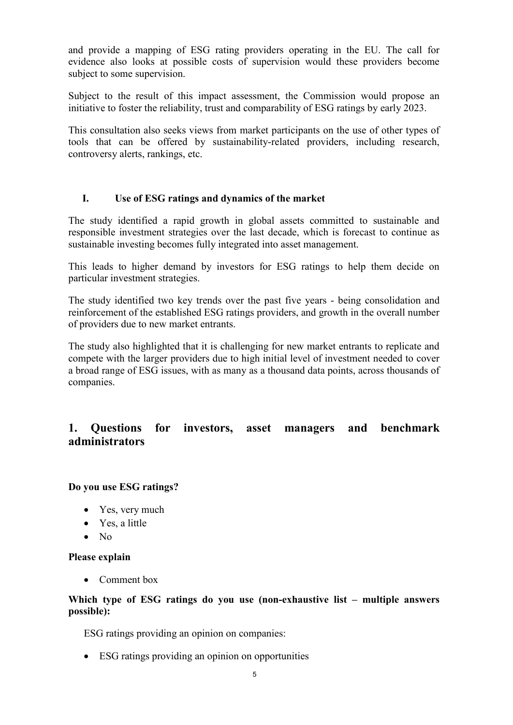and provide a mapping of ESG rating providers operating in the EU. The call for evidence also looks at possible costs of supervision would these providers become subject to some supervision.

Subject to the result of this impact assessment, the Commission would propose an initiative to foster the reliability, trust and comparability of ESG ratings by early 2023.

This consultation also seeks views from market participants on the use of other types of tools that can be offered by sustainability-related providers, including research, controversy alerts, rankings, etc.

#### **I. Use of ESG ratings and dynamics of the market**

The study identified a rapid growth in global assets committed to sustainable and responsible investment strategies over the last decade, which is forecast to continue as sustainable investing becomes fully integrated into asset management.

This leads to higher demand by investors for ESG ratings to help them decide on particular investment strategies.

The study identified two key trends over the past five years - being consolidation and reinforcement of the established ESG ratings providers, and growth in the overall number of providers due to new market entrants.

The study also highlighted that it is challenging for new market entrants to replicate and compete with the larger providers due to high initial level of investment needed to cover a broad range of ESG issues, with as many as a thousand data points, across thousands of companies.

# **1. Questions for investors, asset managers and benchmark administrators**

**Do you use ESG ratings?**

- Yes, very much
- Yes, a little
- No

#### **Please explain**

• Comment box

#### **Which type of ESG ratings do you use (non-exhaustive list – multiple answers possible):**

ESG ratings providing an opinion on companies:

• ESG ratings providing an opinion on opportunities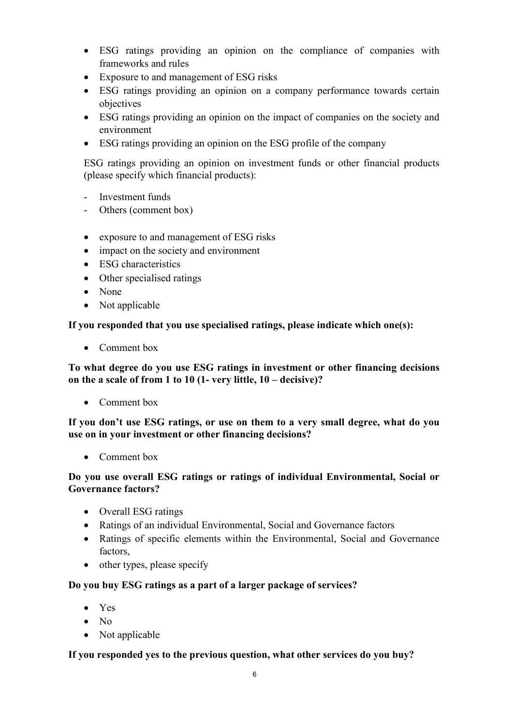- ESG ratings providing an opinion on the compliance of companies with frameworks and rules
- Exposure to and management of ESG risks
- ESG ratings providing an opinion on a company performance towards certain objectives
- ESG ratings providing an opinion on the impact of companies on the society and environment
- ESG ratings providing an opinion on the ESG profile of the company

ESG ratings providing an opinion on investment funds or other financial products (please specify which financial products):

- Investment funds
- Others (comment box)
- exposure to and management of ESG risks
- impact on the society and environment
- ESG characteristics
- Other specialised ratings
- None
- Not applicable

**If you responded that you use specialised ratings, please indicate which one(s):**

• Comment box

**To what degree do you use ESG ratings in investment or other financing decisions on the a scale of from 1 to 10 (1- very little, 10 – decisive)?**

• Comment box

**If you don't use ESG ratings, or use on them to a very small degree, what do you use on in your investment or other financing decisions?**

• Comment box

## **Do you use overall ESG ratings or ratings of individual Environmental, Social or Governance factors?**

- Overall ESG ratings
- Ratings of an individual Environmental, Social and Governance factors
- Ratings of specific elements within the Environmental, Social and Governance factors,
- other types, please specify

## **Do you buy ESG ratings as a part of a larger package of services?**

- Yes
- $N_0$
- Not applicable

## **If you responded yes to the previous question, what other services do you buy?**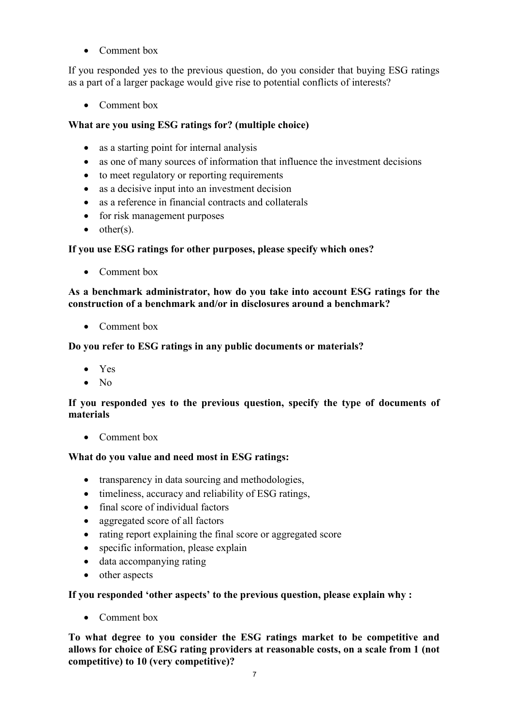• Comment box

If you responded yes to the previous question, do you consider that buying ESG ratings as a part of a larger package would give rise to potential conflicts of interests?

• Comment box

## **What are you using ESG ratings for? (multiple choice)**

- as a starting point for internal analysis
- as one of many sources of information that influence the investment decisions
- to meet regulatory or reporting requirements
- as a decisive input into an investment decision
- as a reference in financial contracts and collaterals
- for risk management purposes
- $\bullet$  other(s).

## **If you use ESG ratings for other purposes, please specify which ones?**

• Comment box

## **As a benchmark administrator, how do you take into account ESG ratings for the construction of a benchmark and/or in disclosures around a benchmark?**

• Comment box

## **Do you refer to ESG ratings in any public documents or materials?**

- Yes
- No

#### **If you responded yes to the previous question, specify the type of documents of materials**

• Comment box

## **What do you value and need most in ESG ratings:**

- transparency in data sourcing and methodologies,
- timeliness, accuracy and reliability of ESG ratings,
- final score of individual factors
- aggregated score of all factors
- rating report explaining the final score or aggregated score
- specific information, please explain
- data accompanying rating
- other aspects

**If you responded 'other aspects' to the previous question, please explain why :**

• Comment box

**To what degree to you consider the ESG ratings market to be competitive and allows for choice of ESG rating providers at reasonable costs, on a scale from 1 (not competitive) to 10 (very competitive)?**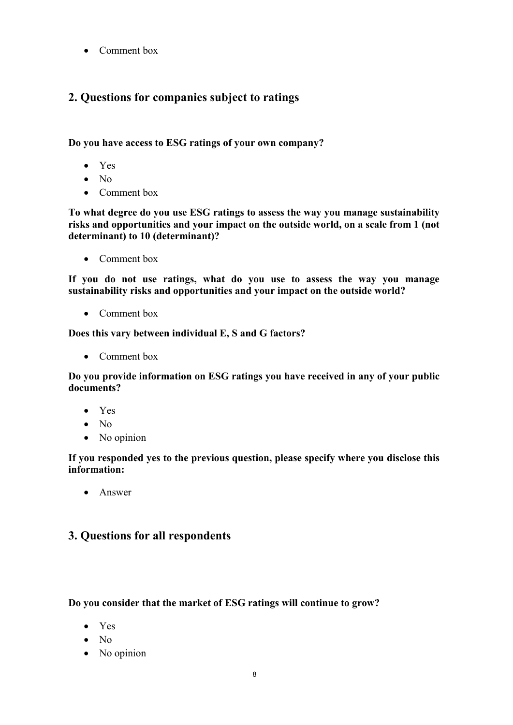• Comment box

# **2. Questions for companies subject to ratings**

**Do you have access to ESG ratings of your own company?**

- Yes
- No
- Comment box

**To what degree do you use ESG ratings to assess the way you manage sustainability risks and opportunities and your impact on the outside world, on a scale from 1 (not determinant) to 10 (determinant)?**

• Comment box

**If you do not use ratings, what do you use to assess the way you manage sustainability risks and opportunities and your impact on the outside world?**

• Comment box

**Does this vary between individual E, S and G factors?**

• Comment box

**Do you provide information on ESG ratings you have received in any of your public documents?**

- Yes
- No
- No opinion

**If you responded yes to the previous question, please specify where you disclose this information:**

• Answer

# **3. Questions for all respondents**

## **Do you consider that the market of ESG ratings will continue to grow?**

- Yes
- No
- No opinion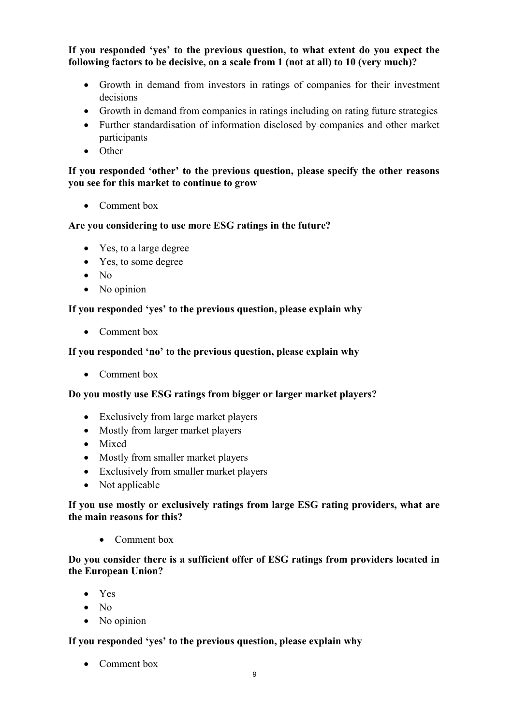**If you responded 'yes' to the previous question, to what extent do you expect the following factors to be decisive, on a scale from 1 (not at all) to 10 (very much)?**

- Growth in demand from investors in ratings of companies for their investment decisions
- Growth in demand from companies in ratings including on rating future strategies
- Further standardisation of information disclosed by companies and other market participants
- Other

## **If you responded 'other' to the previous question, please specify the other reasons you see for this market to continue to grow**

• Comment box

# **Are you considering to use more ESG ratings in the future?**

- Yes, to a large degree
- Yes, to some degree
- No
- No opinion

# **If you responded 'yes' to the previous question, please explain why**

• Comment box

## **If you responded 'no' to the previous question, please explain why**

• Comment box

## **Do you mostly use ESG ratings from bigger or larger market players?**

- Exclusively from large market players
- Mostly from larger market players
- Mixed
- Mostly from smaller market players
- Exclusively from smaller market players
- Not applicable

## **If you use mostly or exclusively ratings from large ESG rating providers, what are the main reasons for this?**

• Comment box

## **Do you consider there is a sufficient offer of ESG ratings from providers located in the European Union?**

- Yes
- $\bullet$  No
- No opinion

## **If you responded 'yes' to the previous question, please explain why**

• Comment box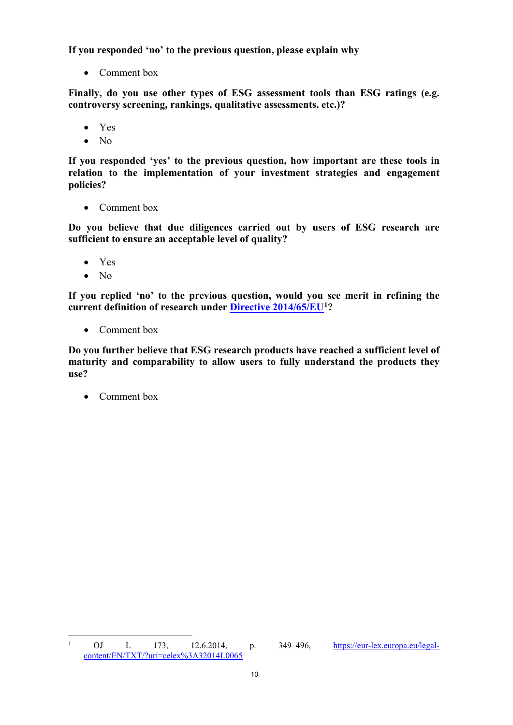**If you responded 'no' to the previous question, please explain why**

• Comment box

**Finally, do you use other types of ESG assessment tools than ESG ratings (e.g. controversy screening, rankings, qualitative assessments, etc.)?**

- Yes
- No

**If you responded 'yes' to the previous question, how important are these tools in relation to the implementation of your investment strategies and engagement policies?** 

• Comment box

**Do you believe that due diligences carried out by users of ESG research are sufficient to ensure an acceptable level of quality?**

- Yes
- No

**If you replied 'no' to the previous question, would you see merit in refining the current definition of research under [Directive 2014/65/EU](https://eur-lex.europa.eu/legal-content/EN/TXT/?uri=CELEX:32014L0065)[1](#page-9-0)?**

• Comment box

**Do you further believe that ESG research products have reached a sufficient level of maturity and comparability to allow users to fully understand the products they use?**

• Comment box

<span id="page-9-0"></span> <sup>1</sup> OJ L 173, 12.6.2014, p. 349–496, [https://eur-lex.europa.eu/legal](https://eur-lex.europa.eu/legal-content/EN/TXT/?uri=celex%3A32014L0065)[content/EN/TXT/?uri=celex%3A32014L0065](https://eur-lex.europa.eu/legal-content/EN/TXT/?uri=celex%3A32014L0065)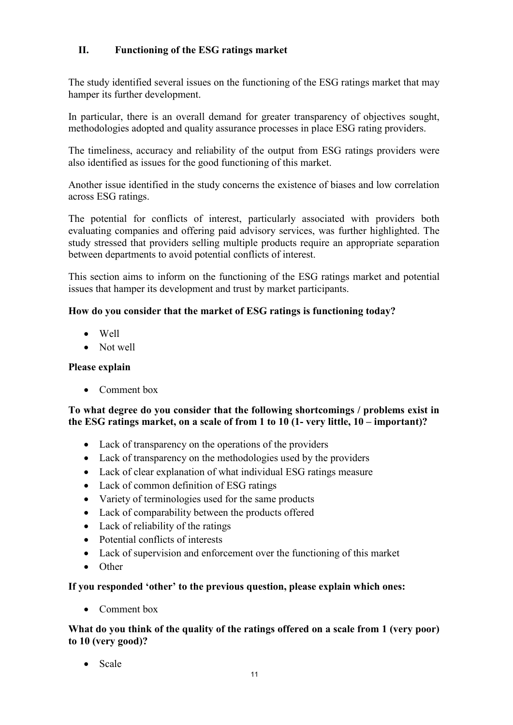# **II. Functioning of the ESG ratings market**

The study identified several issues on the functioning of the ESG ratings market that may hamper its further development.

In particular, there is an overall demand for greater transparency of objectives sought, methodologies adopted and quality assurance processes in place ESG rating providers.

The timeliness, accuracy and reliability of the output from ESG ratings providers were also identified as issues for the good functioning of this market.

Another issue identified in the study concerns the existence of biases and low correlation across ESG ratings.

The potential for conflicts of interest, particularly associated with providers both evaluating companies and offering paid advisory services, was further highlighted. The study stressed that providers selling multiple products require an appropriate separation between departments to avoid potential conflicts of interest.

This section aims to inform on the functioning of the ESG ratings market and potential issues that hamper its development and trust by market participants.

# **How do you consider that the market of ESG ratings is functioning today?**

- Well
- Not well

## **Please explain**

• Comment box

## **To what degree do you consider that the following shortcomings / problems exist in the ESG ratings market, on a scale of from 1 to 10 (1- very little, 10 – important)?**

- Lack of transparency on the operations of the providers
- Lack of transparency on the methodologies used by the providers
- Lack of clear explanation of what individual ESG ratings measure
- Lack of common definition of ESG ratings
- Variety of terminologies used for the same products
- Lack of comparability between the products offered
- Lack of reliability of the ratings
- Potential conflicts of interests
- Lack of supervision and enforcement over the functioning of this market
- Other

## **If you responded 'other' to the previous question, please explain which ones:**

• Comment box

## **What do you think of the quality of the ratings offered on a scale from 1 (very poor) to 10 (very good)?**

• Scale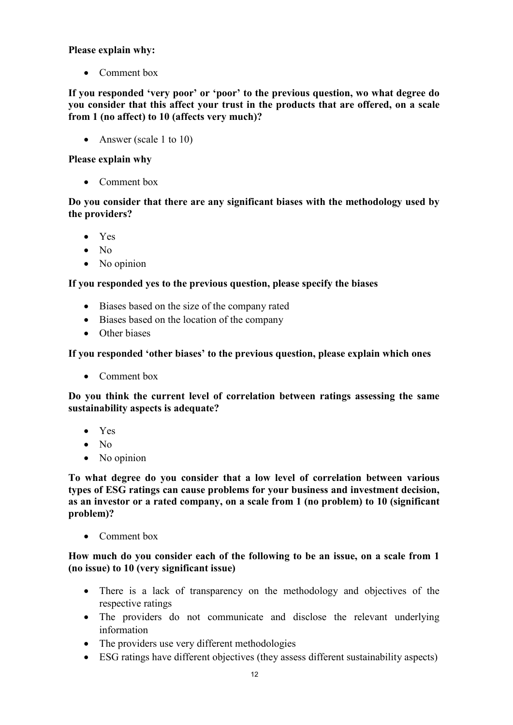## **Please explain why:**

• Comment box

**If you responded 'very poor' or 'poor' to the previous question, wo what degree do you consider that this affect your trust in the products that are offered, on a scale from 1 (no affect) to 10 (affects very much)?**

• Answer (scale 1 to 10)

## **Please explain why**

• Comment box

## **Do you consider that there are any significant biases with the methodology used by the providers?**

- Yes
- No
- No opinion

# **If you responded yes to the previous question, please specify the biases**

- Biases based on the size of the company rated
- Biases based on the location of the company
- Other biases

# **If you responded 'other biases' to the previous question, please explain which ones**

• Comment box

**Do you think the current level of correlation between ratings assessing the same sustainability aspects is adequate?**

- Yes
- No
- No opinion

**To what degree do you consider that a low level of correlation between various types of ESG ratings can cause problems for your business and investment decision, as an investor or a rated company, on a scale from 1 (no problem) to 10 (significant problem)?**

• Comment box

## **How much do you consider each of the following to be an issue, on a scale from 1 (no issue) to 10 (very significant issue)**

- There is a lack of transparency on the methodology and objectives of the respective ratings
- The providers do not communicate and disclose the relevant underlying information
- The providers use very different methodologies
- ESG ratings have different objectives (they assess different sustainability aspects)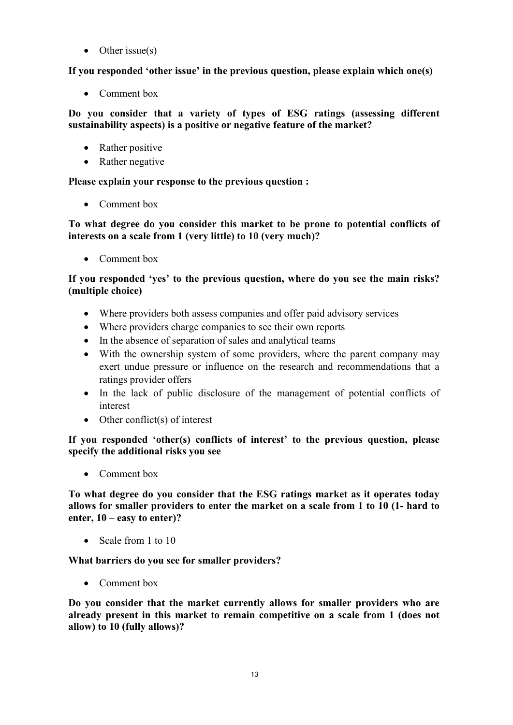• Other issue $(s)$ 

**If you responded 'other issue' in the previous question, please explain which one(s)**

• Comment box

**Do you consider that a variety of types of ESG ratings (assessing different sustainability aspects) is a positive or negative feature of the market?**

- Rather positive
- Rather negative

**Please explain your response to the previous question :**

• Comment box

**To what degree do you consider this market to be prone to potential conflicts of interests on a scale from 1 (very little) to 10 (very much)?**

• Comment box

# **If you responded 'yes' to the previous question, where do you see the main risks? (multiple choice)**

- Where providers both assess companies and offer paid advisory services
- Where providers charge companies to see their own reports
- In the absence of separation of sales and analytical teams
- With the ownership system of some providers, where the parent company may exert undue pressure or influence on the research and recommendations that a ratings provider offers
- In the lack of public disclosure of the management of potential conflicts of interest
- Other conflict(s) of interest

**If you responded 'other(s) conflicts of interest' to the previous question, please specify the additional risks you see**

• Comment box

**To what degree do you consider that the ESG ratings market as it operates today allows for smaller providers to enter the market on a scale from 1 to 10 (1- hard to enter, 10 – easy to enter)?**

• Scale from 1 to 10

**What barriers do you see for smaller providers?**

• Comment box

**Do you consider that the market currently allows for smaller providers who are already present in this market to remain competitive on a scale from 1 (does not allow) to 10 (fully allows)?**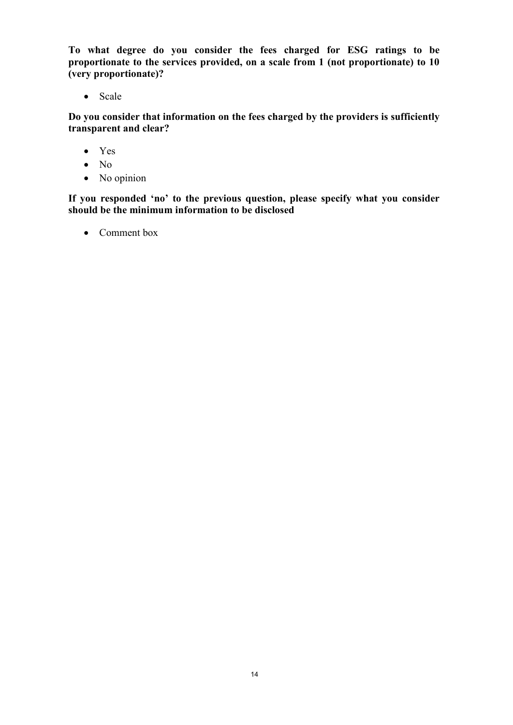**To what degree do you consider the fees charged for ESG ratings to be proportionate to the services provided, on a scale from 1 (not proportionate) to 10 (very proportionate)?**

• Scale

**Do you consider that information on the fees charged by the providers is sufficiently transparent and clear?**

- Yes
- No
- No opinion

**If you responded 'no' to the previous question, please specify what you consider should be the minimum information to be disclosed**

• Comment box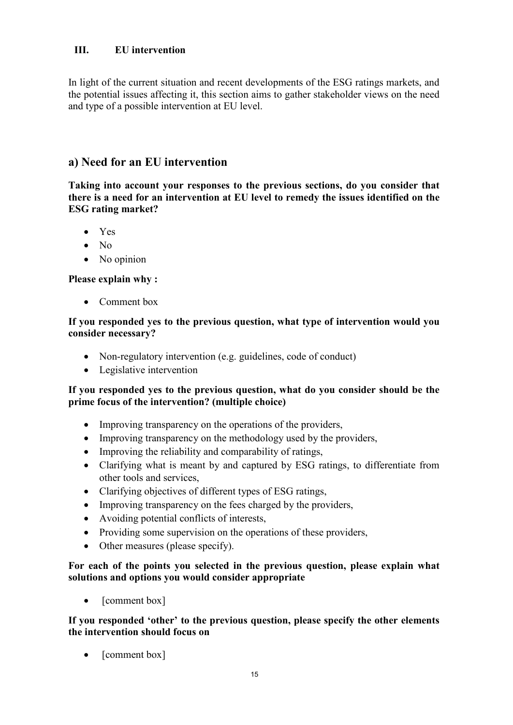# **III. EU intervention**

In light of the current situation and recent developments of the ESG ratings markets, and the potential issues affecting it, this section aims to gather stakeholder views on the need and type of a possible intervention at EU level.

# **a) Need for an EU intervention**

**Taking into account your responses to the previous sections, do you consider that there is a need for an intervention at EU level to remedy the issues identified on the ESG rating market?**

- Yes
- No
- No opinion

## **Please explain why :**

• Comment box

#### **If you responded yes to the previous question, what type of intervention would you consider necessary?**

- Non-regulatory intervention (e.g. guidelines, code of conduct)
- Legislative intervention

## **If you responded yes to the previous question, what do you consider should be the prime focus of the intervention? (multiple choice)**

- Improving transparency on the operations of the providers,
- Improving transparency on the methodology used by the providers,
- Improving the reliability and comparability of ratings,
- Clarifying what is meant by and captured by ESG ratings, to differentiate from other tools and services,
- Clarifying objectives of different types of ESG ratings,
- Improving transparency on the fees charged by the providers,
- Avoiding potential conflicts of interests,
- Providing some supervision on the operations of these providers,
- Other measures (please specify).

## **For each of the points you selected in the previous question, please explain what solutions and options you would consider appropriate**

• [comment box]

**If you responded 'other' to the previous question, please specify the other elements the intervention should focus on**

[comment box]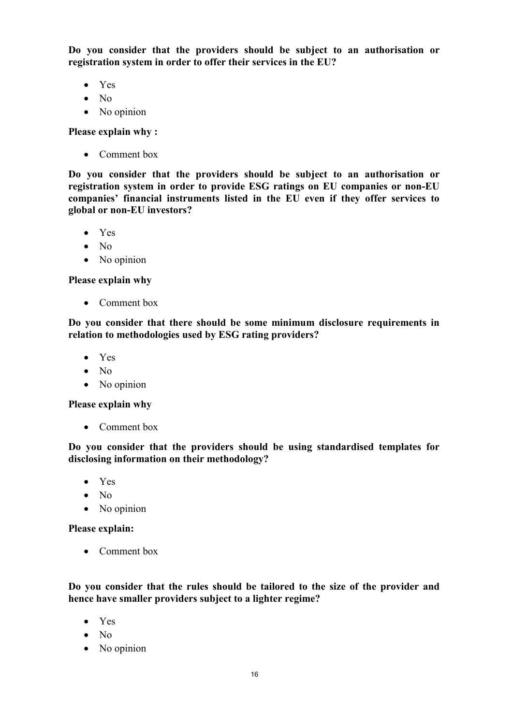**Do you consider that the providers should be subject to an authorisation or registration system in order to offer their services in the EU?**

- Yes
- No
- No opinion

**Please explain why :**

• Comment box

**Do you consider that the providers should be subject to an authorisation or registration system in order to provide ESG ratings on EU companies or non-EU companies' financial instruments listed in the EU even if they offer services to global or non-EU investors?**

- Yes
- No
- No opinion

**Please explain why**

• Comment box

**Do you consider that there should be some minimum disclosure requirements in relation to methodologies used by ESG rating providers?**

- Yes
- No
- No opinion

**Please explain why**

• Comment box

**Do you consider that the providers should be using standardised templates for disclosing information on their methodology?**

- Yes
- No
- No opinion

**Please explain:**

• Comment box

**Do you consider that the rules should be tailored to the size of the provider and hence have smaller providers subject to a lighter regime?**

- Yes
- No
- No opinion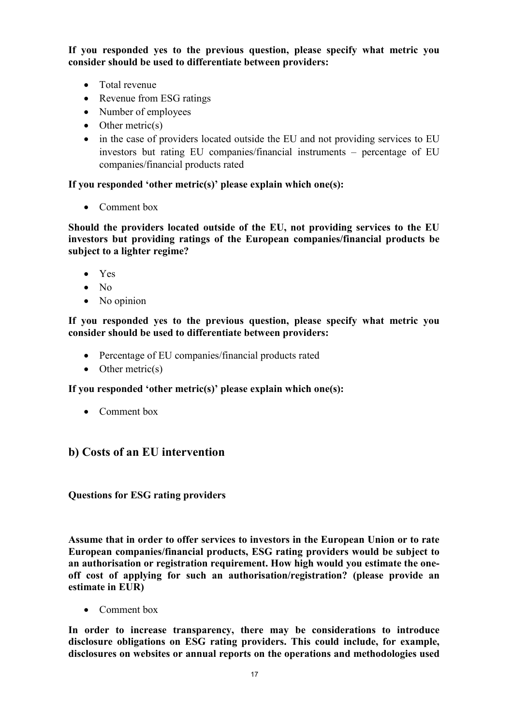**If you responded yes to the previous question, please specify what metric you consider should be used to differentiate between providers:**

- Total revenue
- Revenue from ESG ratings
- Number of employees
- Other metric(s)
- in the case of providers located outside the EU and not providing services to EU investors but rating EU companies/financial instruments – percentage of EU companies/financial products rated

## **If you responded 'other metric(s)' please explain which one(s):**

• Comment box

**Should the providers located outside of the EU, not providing services to the EU investors but providing ratings of the European companies/financial products be subject to a lighter regime?**

- Yes
- No
- No opinion

#### **If you responded yes to the previous question, please specify what metric you consider should be used to differentiate between providers:**

- Percentage of EU companies/financial products rated
- Other metric(s)

## **If you responded 'other metric(s)' please explain which one(s):**

• Comment box

# **b) Costs of an EU intervention**

**Questions for ESG rating providers**

**Assume that in order to offer services to investors in the European Union or to rate European companies/financial products, ESG rating providers would be subject to an authorisation or registration requirement. How high would you estimate the oneoff cost of applying for such an authorisation/registration? (please provide an estimate in EUR)**

• Comment box

**In order to increase transparency, there may be considerations to introduce disclosure obligations on ESG rating providers. This could include, for example, disclosures on websites or annual reports on the operations and methodologies used**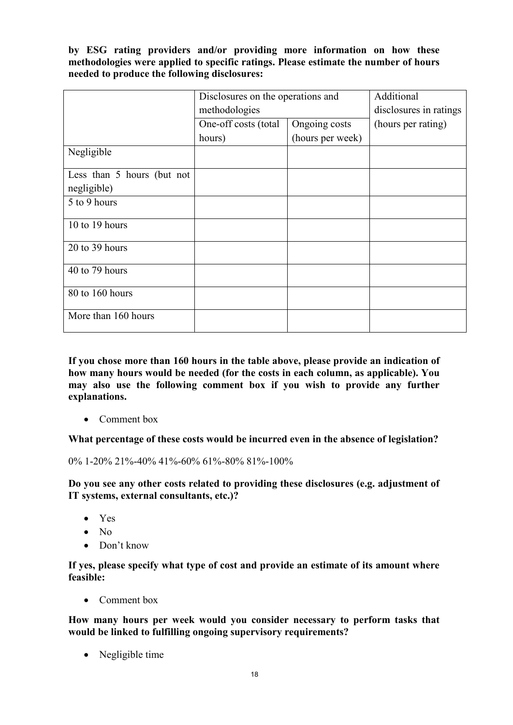**by ESG rating providers and/or providing more information on how these methodologies were applied to specific ratings. Please estimate the number of hours needed to produce the following disclosures:**

|                            | Disclosures on the operations and<br>methodologies |                  | Additional             |
|----------------------------|----------------------------------------------------|------------------|------------------------|
|                            |                                                    |                  | disclosures in ratings |
|                            | One-off costs (total                               | Ongoing costs    | (hours per rating)     |
|                            | hours)                                             | (hours per week) |                        |
| Negligible                 |                                                    |                  |                        |
| Less than 5 hours (but not |                                                    |                  |                        |
| negligible)                |                                                    |                  |                        |
| 5 to 9 hours               |                                                    |                  |                        |
| 10 to 19 hours             |                                                    |                  |                        |
| 20 to 39 hours             |                                                    |                  |                        |
| 40 to 79 hours             |                                                    |                  |                        |
| 80 to 160 hours            |                                                    |                  |                        |
| More than 160 hours        |                                                    |                  |                        |

**If you chose more than 160 hours in the table above, please provide an indication of how many hours would be needed (for the costs in each column, as applicable). You may also use the following comment box if you wish to provide any further explanations.**

• Comment box

**What percentage of these costs would be incurred even in the absence of legislation?**

0% 1-20% 21%-40% 41%-60% 61%-80% 81%-100%

**Do you see any other costs related to providing these disclosures (e.g. adjustment of IT systems, external consultants, etc.)?**

- Yes
- No
- Don't know

**If yes, please specify what type of cost and provide an estimate of its amount where feasible:**

• Comment box

**How many hours per week would you consider necessary to perform tasks that would be linked to fulfilling ongoing supervisory requirements?**

• Negligible time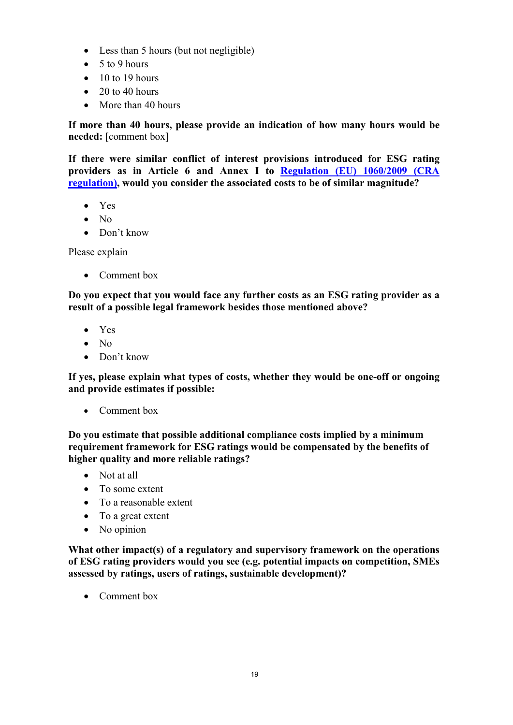- Less than 5 hours (but not negligible)
- $\bullet$  5 to 9 hours
- $\bullet$  10 to 19 hours
- $\bullet$  20 to 40 hours
- More than 40 hours

**If more than 40 hours, please provide an indication of how many hours would be needed:** [comment box]

**If there were similar conflict of interest provisions introduced for ESG rating providers as in Article 6 and Annex I to [Regulation \(EU\) 1060/2009 \(CRA](https://eur-lex.europa.eu/legal-content/EN/TXT/?uri=CELEX:32009R1060)  [regulation\),](https://eur-lex.europa.eu/legal-content/EN/TXT/?uri=CELEX:32009R1060) would you consider the associated costs to be of similar magnitude?**

- Yes
- $\bullet$  No
- Don't know

Please explain

• Comment box

**Do you expect that you would face any further costs as an ESG rating provider as a result of a possible legal framework besides those mentioned above?**

- Yes
- No
- Don't know

**If yes, please explain what types of costs, whether they would be one-off or ongoing and provide estimates if possible:**

• Comment box

**Do you estimate that possible additional compliance costs implied by a minimum requirement framework for ESG ratings would be compensated by the benefits of higher quality and more reliable ratings?**

- Not at all
- To some extent
- To a reasonable extent
- To a great extent
- No opinion

**What other impact(s) of a regulatory and supervisory framework on the operations of ESG rating providers would you see (e.g. potential impacts on competition, SMEs assessed by ratings, users of ratings, sustainable development)?**

• Comment box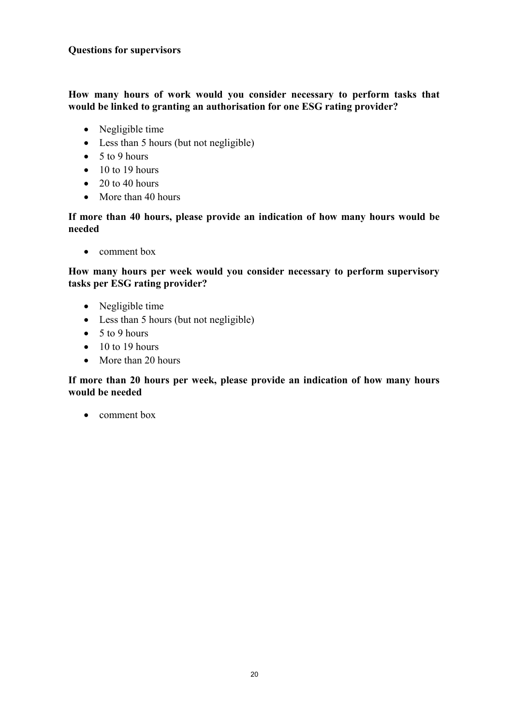## **Questions for supervisors**

#### **How many hours of work would you consider necessary to perform tasks that would be linked to granting an authorisation for one ESG rating provider?**

- Negligible time
- Less than 5 hours (but not negligible)
- $\bullet$  5 to 9 hours
- $\bullet$  10 to 19 hours
- $\bullet$  20 to 40 hours
- More than 40 hours

#### **If more than 40 hours, please provide an indication of how many hours would be needed**

• comment box

**How many hours per week would you consider necessary to perform supervisory tasks per ESG rating provider?**

- Negligible time
- Less than 5 hours (but not negligible)
- $\bullet$  5 to 9 hours
- $\bullet$  10 to 19 hours
- More than 20 hours

#### **If more than 20 hours per week, please provide an indication of how many hours would be needed**

• comment box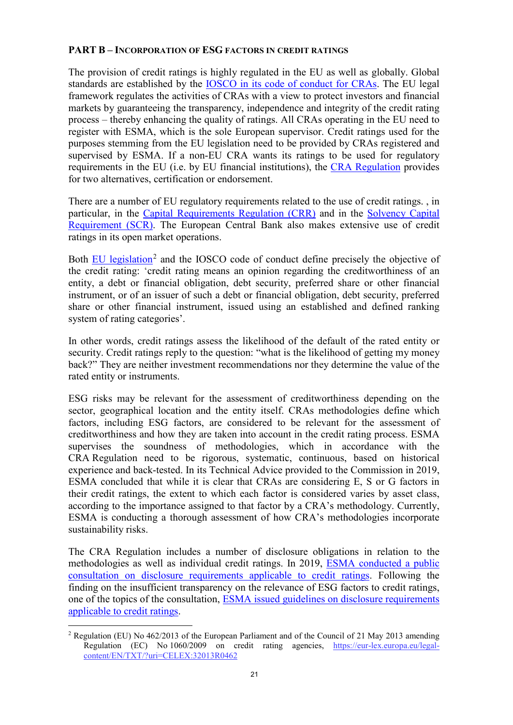#### **PART B – INCORPORATION OF ESG FACTORS IN CREDIT RATINGS**

The provision of credit ratings is highly regulated in the EU as well as globally. Global standards are established by the [IOSCO in its code of conduct for CRAs.](https://www.iosco.org/library/pubdocs/pdf/IOSCOPD482.pdf) The EU legal framework regulates the activities of CRAs with a view to protect investors and financial markets by guaranteeing the transparency, independence and integrity of the credit rating process – thereby enhancing the quality of ratings. All CRAs operating in the EU need to register with ESMA, which is the sole European supervisor. Credit ratings used for the purposes stemming from the EU legislation need to be provided by CRAs registered and supervised by ESMA. If a non-EU CRA wants its ratings to be used for regulatory requirements in the EU (i.e. by EU financial institutions), the [CRA Regulation](https://eur-lex.europa.eu/legal-content/EN/TXT/?uri=CELEX:32009R1060) provides for two alternatives, certification or endorsement.

There are a number of EU regulatory requirements related to the use of credit ratings. , in particular, in the [Capital Requirements Regulation \(CRR\)](https://eur-lex.europa.eu/legal-content/EN/TXT/?uri=CELEX:32013R0575) and in the [Solvency Capital](https://eur-lex.europa.eu/legal-content/EN/TXT/?uri=CELEX:32009L0138)  [Requirement \(SCR\).](https://eur-lex.europa.eu/legal-content/EN/TXT/?uri=CELEX:32009L0138) The European Central Bank also makes extensive use of credit ratings in its open market operations.

Both [EU legislation](https://eur-lex.europa.eu/legal-content/EN/TXT/?uri=CELEX:32013R0462)<sup>[2](#page-20-0)</sup> and the IOSCO code of conduct define precisely the objective of the credit rating: 'credit rating means an opinion regarding the creditworthiness of an entity, a debt or financial obligation, debt security, preferred share or other financial instrument, or of an issuer of such a debt or financial obligation, debt security, preferred share or other financial instrument, issued using an established and defined ranking system of rating categories'.

In other words, credit ratings assess the likelihood of the default of the rated entity or security. Credit ratings reply to the question: "what is the likelihood of getting my money back?" They are neither investment recommendations nor they determine the value of the rated entity or instruments.

ESG risks may be relevant for the assessment of creditworthiness depending on the sector, geographical location and the entity itself. CRAs methodologies define which factors, including ESG factors, are considered to be relevant for the assessment of creditworthiness and how they are taken into account in the credit rating process. ESMA supervises the soundness of methodologies, which in accordance with the CRA Regulation need to be rigorous, systematic, continuous, based on historical experience and back-tested. In its Technical Advice provided to the Commission in 2019, ESMA concluded that while it is clear that CRAs are considering E, S or G factors in their credit ratings, the extent to which each factor is considered varies by asset class, according to the importance assigned to that factor by a CRA's methodology. Currently, ESMA is conducting a thorough assessment of how CRA's methodologies incorporate sustainability risks.

The CRA Regulation includes a number of disclosure obligations in relation to the methodologies as well as individual credit ratings. In 2019, [ESMA conducted a public](https://www.esma.europa.eu/press-news/consultations/consulation-disclosure-requirements-applicable-credit-ratings)  [consultation on disclosure requirements applicable to credit ratings.](https://www.esma.europa.eu/press-news/consultations/consulation-disclosure-requirements-applicable-credit-ratings) Following the finding on the insufficient transparency on the relevance of ESG factors to credit ratings, one of the topics of the consultation, [ESMA issued guidelines on disclosure requirements](https://www.esma.europa.eu/document/final-report-guidelines-disclosure-requirements-applicable-credit-rating-agencies)  [applicable to credit](https://www.esma.europa.eu/document/final-report-guidelines-disclosure-requirements-applicable-credit-rating-agencies) ratings.

<span id="page-20-0"></span><sup>&</sup>lt;sup>2</sup> Regulation (EU) No 462/2013 of the European Parliament and of the Council of 21 May 2013 amending Regulation (EC) No 1060/2009 on credit rating agencies, [https://eur-lex.europa.eu/legal](https://eur-lex.europa.eu/legal-content/EN/TXT/?uri=CELEX:32013R0462)[content/EN/TXT/?uri=CELEX:32013R0462](https://eur-lex.europa.eu/legal-content/EN/TXT/?uri=CELEX:32013R0462)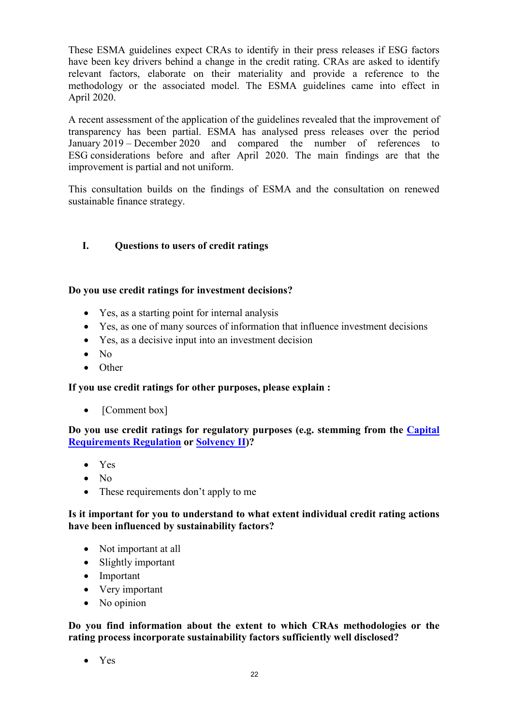These ESMA guidelines expect CRAs to identify in their press releases if ESG factors have been key drivers behind a change in the credit rating. CRAs are asked to identify relevant factors, elaborate on their materiality and provide a reference to the methodology or the associated model. The ESMA guidelines came into effect in April 2020.

A recent assessment of the application of the guidelines revealed that the improvement of transparency has been partial. ESMA has analysed press releases over the period January 2019 – December 2020 and compared the number of references to ESG considerations before and after April 2020. The main findings are that the improvement is partial and not uniform.

This consultation builds on the findings of ESMA and the consultation on renewed sustainable finance strategy.

## **I. Questions to users of credit ratings**

#### **Do you use credit ratings for investment decisions?**

- Yes, as a starting point for internal analysis
- Yes, as one of many sources of information that influence investment decisions
- Yes, as a decisive input into an investment decision
- No
- Other

#### **If you use credit ratings for other purposes, please explain :**

• [Comment box]

**Do you use credit ratings for regulatory purposes (e.g. stemming from the [Capital](https://eur-lex.europa.eu/legal-content/EN/TXT/?uri=CELEX:32013R0575)  [Requirements Regulation](https://eur-lex.europa.eu/legal-content/EN/TXT/?uri=CELEX:32013R0575) or [Solvency II\)](https://eur-lex.europa.eu/legal-content/EN/TXT/?uri=CELEX:32009L0138)?**

- Yes
- $\bullet$  No
- These requirements don't apply to me

#### **Is it important for you to understand to what extent individual credit rating actions have been influenced by sustainability factors?**

- Not important at all
- Slightly important
- Important
- Very important
- No opinion

**Do you find information about the extent to which CRAs methodologies or the rating process incorporate sustainability factors sufficiently well disclosed?**

• Yes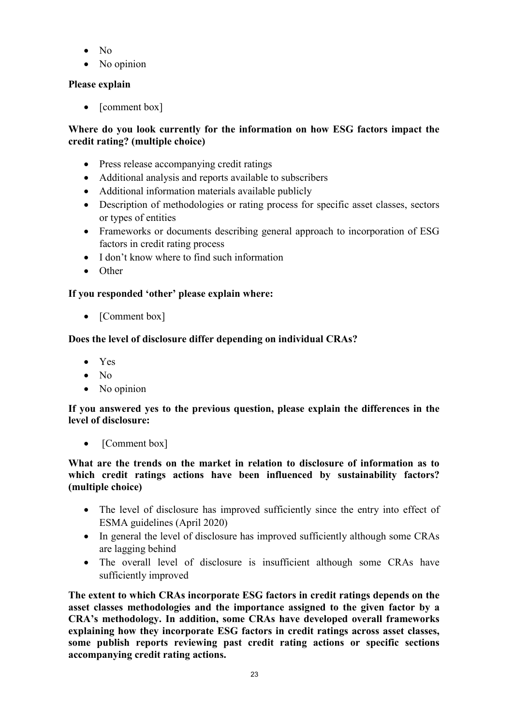- No
- No opinion

# **Please explain**

• [comment box]

# **Where do you look currently for the information on how ESG factors impact the credit rating? (multiple choice)**

- Press release accompanying credit ratings
- Additional analysis and reports available to subscribers
- Additional information materials available publicly
- Description of methodologies or rating process for specific asset classes, sectors or types of entities
- Frameworks or documents describing general approach to incorporation of ESG factors in credit rating process
- I don't know where to find such information
- Other

# **If you responded 'other' please explain where:**

• [Comment box]

# **Does the level of disclosure differ depending on individual CRAs?**

- Yes
- $\bullet$  No
- No opinion

# **If you answered yes to the previous question, please explain the differences in the level of disclosure:**

• [Comment box]

## **What are the trends on the market in relation to disclosure of information as to which credit ratings actions have been influenced by sustainability factors? (multiple choice)**

- The level of disclosure has improved sufficiently since the entry into effect of ESMA guidelines (April 2020)
- In general the level of disclosure has improved sufficiently although some CRAs are lagging behind
- The overall level of disclosure is insufficient although some CRAs have sufficiently improved

**The extent to which CRAs incorporate ESG factors in credit ratings depends on the asset classes methodologies and the importance assigned to the given factor by a CRA's methodology. In addition, some CRAs have developed overall frameworks explaining how they incorporate ESG factors in credit ratings across asset classes, some publish reports reviewing past credit rating actions or specific sections accompanying credit rating actions.**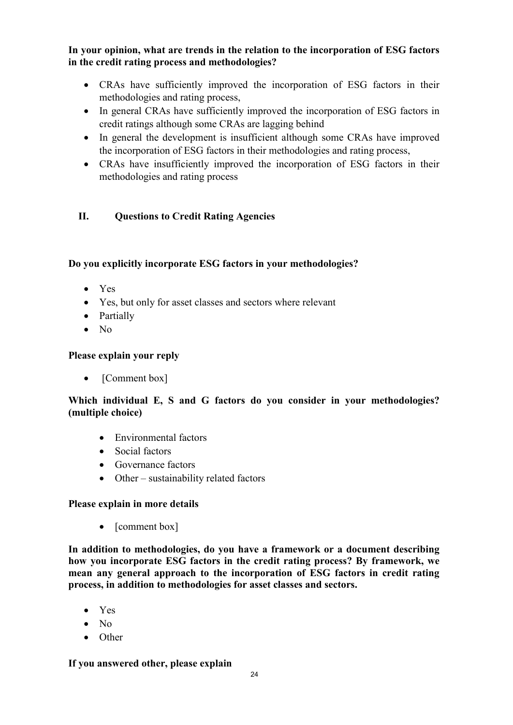**In your opinion, what are trends in the relation to the incorporation of ESG factors in the credit rating process and methodologies?**

- CRAs have sufficiently improved the incorporation of ESG factors in their methodologies and rating process,
- In general CRAs have sufficiently improved the incorporation of ESG factors in credit ratings although some CRAs are lagging behind
- In general the development is insufficient although some CRAs have improved the incorporation of ESG factors in their methodologies and rating process,
- CRAs have insufficiently improved the incorporation of ESG factors in their methodologies and rating process

# **II. Questions to Credit Rating Agencies**

#### **Do you explicitly incorporate ESG factors in your methodologies?**

- Yes
- Yes, but only for asset classes and sectors where relevant
- Partially
- No

## **Please explain your reply**

• [Comment box]

# **Which individual E, S and G factors do you consider in your methodologies? (multiple choice)**

- Environmental factors
- Social factors
- Governance factors
- Other sustainability related factors

## **Please explain in more details**

• [comment box]

**In addition to methodologies, do you have a framework or a document describing how you incorporate ESG factors in the credit rating process? By framework, we mean any general approach to the incorporation of ESG factors in credit rating process, in addition to methodologies for asset classes and sectors.**

- Yes
- No
- Other

#### **If you answered other, please explain**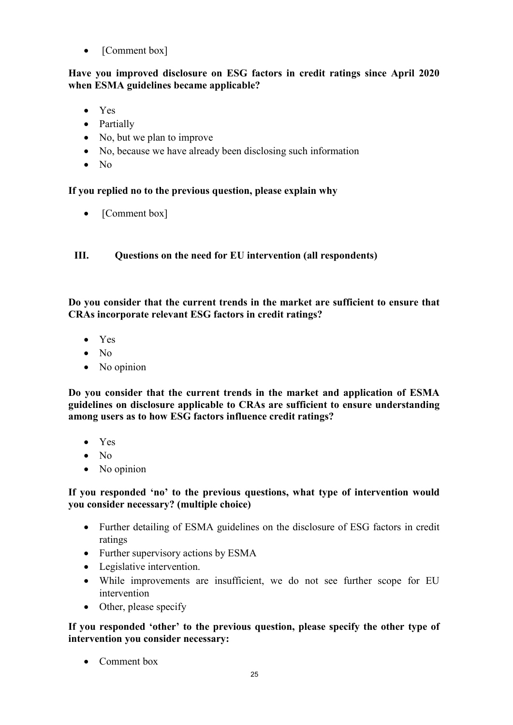• [Comment box]

#### **Have you improved disclosure on ESG factors in credit ratings since April 2020 when ESMA guidelines became applicable?**

- Yes
- Partially
- No, but we plan to improve
- No, because we have already been disclosing such information
- No

## **If you replied no to the previous question, please explain why**

• [Comment box]

**III. Questions on the need for EU intervention (all respondents)**

**Do you consider that the current trends in the market are sufficient to ensure that CRAs incorporate relevant ESG factors in credit ratings?**

- Yes
- No
- No opinion

**Do you consider that the current trends in the market and application of ESMA guidelines on disclosure applicable to CRAs are sufficient to ensure understanding among users as to how ESG factors influence credit ratings?**

- Yes
- No
- No opinion

## **If you responded 'no' to the previous questions, what type of intervention would you consider necessary? (multiple choice)**

- Further detailing of ESMA guidelines on the disclosure of ESG factors in credit ratings
- Further supervisory actions by ESMA
- Legislative intervention.
- While improvements are insufficient, we do not see further scope for EU intervention
- Other, please specify

**If you responded 'other' to the previous question, please specify the other type of intervention you consider necessary:**

• Comment box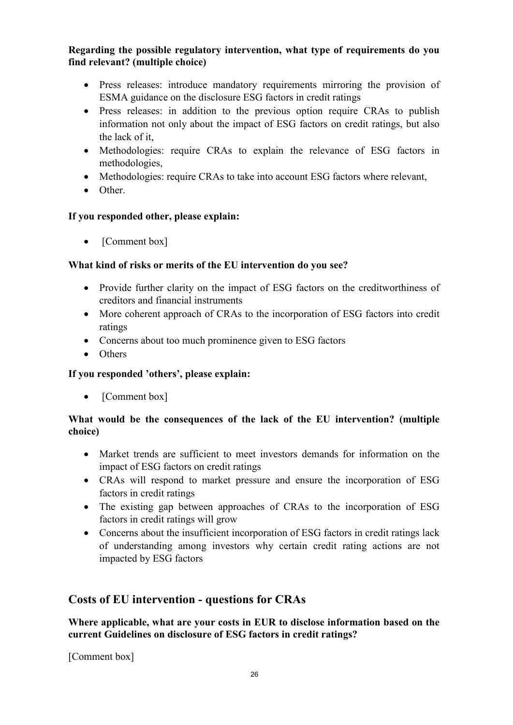## **Regarding the possible regulatory intervention, what type of requirements do you find relevant? (multiple choice)**

- Press releases: introduce mandatory requirements mirroring the provision of ESMA guidance on the disclosure ESG factors in credit ratings
- Press releases: in addition to the previous option require CRAs to publish information not only about the impact of ESG factors on credit ratings, but also the lack of it,
- Methodologies: require CRAs to explain the relevance of ESG factors in methodologies,
- Methodologies: require CRAs to take into account ESG factors where relevant,
- Other.

# **If you responded other, please explain:**

• [Comment box]

# **What kind of risks or merits of the EU intervention do you see?**

- Provide further clarity on the impact of ESG factors on the creditworthiness of creditors and financial instruments
- More coherent approach of CRAs to the incorporation of ESG factors into credit ratings
- Concerns about too much prominence given to ESG factors
- Others

# **If you responded 'others', please explain:**

• [Comment box]

# **What would be the consequences of the lack of the EU intervention? (multiple choice)**

- Market trends are sufficient to meet investors demands for information on the impact of ESG factors on credit ratings
- CRAs will respond to market pressure and ensure the incorporation of ESG factors in credit ratings
- The existing gap between approaches of CRAs to the incorporation of ESG factors in credit ratings will grow
- Concerns about the insufficient incorporation of ESG factors in credit ratings lack of understanding among investors why certain credit rating actions are not impacted by ESG factors

# **Costs of EU intervention - questions for CRAs**

**Where applicable, what are your costs in EUR to disclose information based on the current Guidelines on disclosure of ESG factors in credit ratings?**

[Comment box]